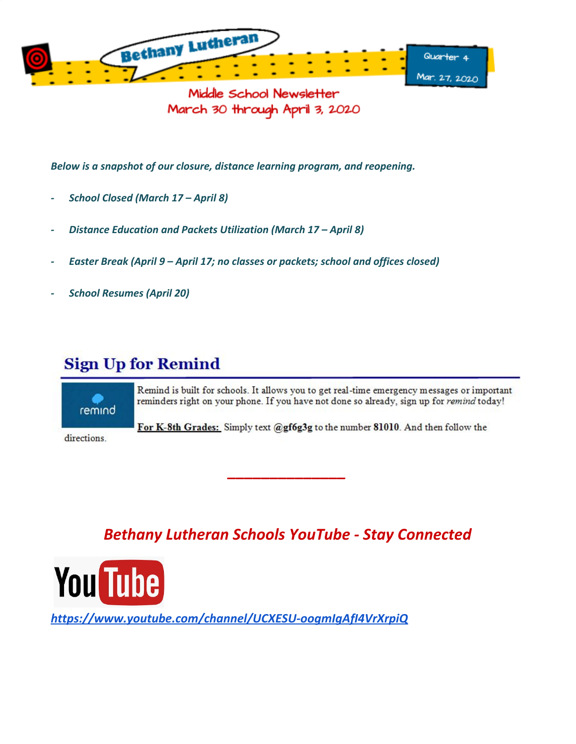

Middle School Newsletter March 30 through April 3, 2020

*Below is a snapshot of our closure, distance learning program, and reopening.*

- *- School Closed (March 17 April 8)*
- *- Distance Education and Packets Utilization (March 17 April 8)*
- *- Easter Break (April 9 April 17; no classes or packets; school and offices closed)*
- *- School Resumes (April 20)*

## **Sign Up for Remind**

remind

Remind is built for schools. It allows you to get real-time emergency messages or important reminders right on your phone. If you have not done so already, sign up for remind today!

For K-8th Grades: Simply text @gf6g3g to the number 81010. And then follow the

directions.

*Bethany Lutheran Schools YouTube - Stay Connected*

*\_\_\_\_\_\_\_\_\_\_\_\_\_\_*



*<https://www.youtube.com/channel/UCXESU-oogmIgAfI4VrXrpiQ>*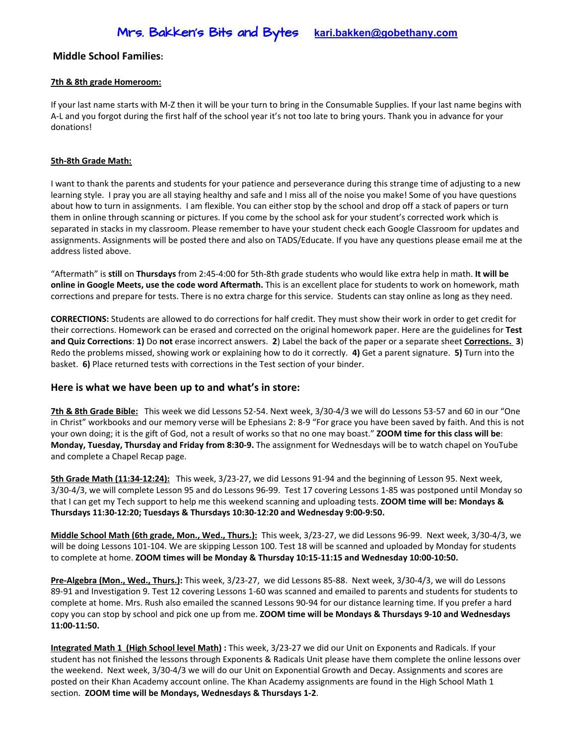### **Middle School Families:**

#### **7th & 8th grade Homeroom:**

If your last name starts with M-Z then it will be your turn to bring in the Consumable Supplies. If your last name begins with A-L and you forgot during the first half of the school year it's not too late to bring yours. Thank you in advance for your donations!

#### **5th-8th Grade Math:**

I want to thank the parents and students for your patience and perseverance during this strange time of adjusting to a new learning style. I pray you are all staying healthy and safe and I miss all of the noise you make! Some of you have questions about how to turn in assignments. I am flexible. You can either stop by the school and drop off a stack of papers or turn them in online through scanning or pictures. If you come by the school ask for your student's corrected work which is separated in stacks in my classroom. Please remember to have your student check each Google Classroom for updates and assignments. Assignments will be posted there and also on TADS/Educate. If you have any questions please email me at the address listed above.

"Aftermath" is **still** on **Thursdays** from 2:45-4:00 for 5th-8th grade students who would like extra help in math. **It will be online in Google Meets, use the code word Aftermath.** This is an excellent place for students to work on homework, math corrections and prepare for tests. There is no extra charge for this service. Students can stay online as long as they need.

**CORRECTIONS:** Students are allowed to do corrections for half credit. They must show their work in order to get credit for their corrections. Homework can be erased and corrected on the original homework paper. Here are the guidelines for **Test and Quiz Corrections**: **1)** Do **not** erase incorrect answers. **2**) Label the back of the paper or a separate sheet **Corrections. 3**) Redo the problems missed, showing work or explaining how to do it correctly. **4)** Get a parent signature. **5)** Turn into the basket. **6)** Place returned tests with corrections in the Test section of your binder.

#### **Here is what we have been up to and what's in store:**

**7th & 8th Grade Bible:** This week we did Lessons 52-54. Next week, 3/30-4/3 we will do Lessons 53-57 and 60 in our "One in Christ" workbooks and our memory verse will be Ephesians 2: 8-9 "For grace you have been saved by faith. And this is not your own doing; it is the gift of God, not a result of works so that no one may boast." **ZOOM time for this class will be**: **Monday, Tuesday, Thursday and Friday from 8:30-9.** The assignment for Wednesdays will be to watch chapel on YouTube and complete a Chapel Recap page.

**5th Grade Math (11:34-12:24):** This week, 3/23-27, we did Lessons 91-94 and the beginning of Lesson 95. Next week, 3/30-4/3, we will complete Lesson 95 and do Lessons 96-99. Test 17 covering Lessons 1-85 was postponed until Monday so that I can get my Tech support to help me this weekend scanning and uploading tests. **ZOOM time will be: Mondays & Thursdays 11:30-12:20; Tuesdays & Thursdays 10:30-12:20 and Wednesday 9:00-9:50.**

**Middle School Math (6th grade, Mon., Wed., Thurs.):** This week, 3/23-27, we did Lessons 96-99. Next week, 3/30-4/3, we will be doing Lessons 101-104. We are skipping Lesson 100. Test 18 will be scanned and uploaded by Monday for students to complete at home. **ZOOM times will be Monday & Thursday 10:15-11:15 and Wednesday 10:00-10:50.**

**Pre-Algebra (Mon., Wed., Thurs.):** This week, 3/23-27, we did Lessons 85-88. Next week, 3/30-4/3, we will do Lessons 89-91 and Investigation 9. Test 12 covering Lessons 1-60 was scanned and emailed to parents and students for students to complete at home. Mrs. Rush also emailed the scanned Lessons 90-94 for our distance learning time. If you prefer a hard copy you can stop by school and pick one up from me. **ZOOM time will be Mondays & Thursdays 9-10 and Wednesdays 11:00-11:50.**

**Integrated Math 1 (High School level Math) :** This week, 3/23-27 we did our Unit on Exponents and Radicals. If your student has not finished the lessons through Exponents & Radicals Unit please have them complete the online lessons over the weekend. Next week, 3/30-4/3 we will do our Unit on Exponential Growth and Decay. Assignments and scores are posted on their Khan Academy account online. The Khan Academy assignments are found in the High School Math 1 section. **ZOOM time will be Mondays, Wednesdays & Thursdays 1-2**.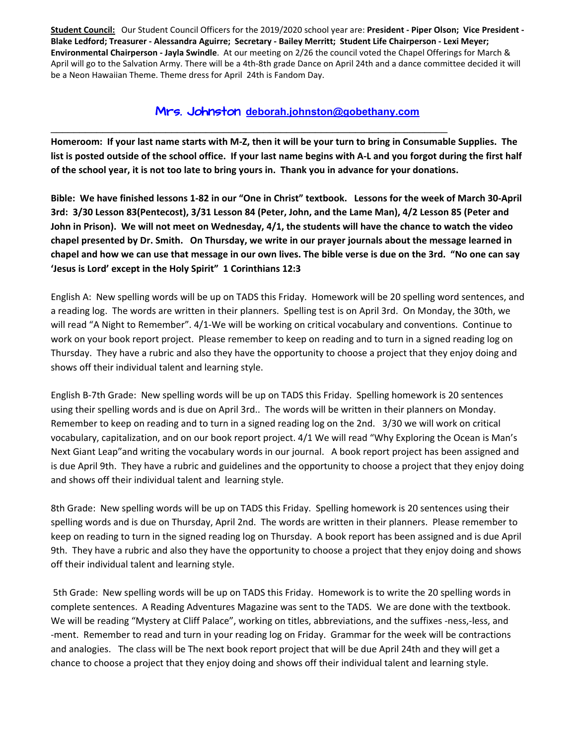**Student Council:** Our Student Council Officers for the 2019/2020 school year are: **President - Piper Olson; Vice President -** Blake Ledford; Treasurer - Alessandra Aguirre; Secretary - Bailey Merritt; Student Life Chairperson - Lexi Meyer; **Environmental Chairperson - Jayla Swindle**. At our meeting on 2/26 the council voted the Chapel Offerings for March & April will go to the Salvation Army. There will be a 4th-8th grade Dance on April 24th and a dance committee decided it will be a Neon Hawaiian Theme. Theme dress for April 24th is Fandom Day.

### Mrs. Johnston **deborah.johnsto[n@gobethany.com](mailto:megumi.nomura@gobethany.com)**

\_\_\_\_\_\_\_\_\_\_\_\_\_\_\_\_\_\_\_\_\_\_\_\_\_\_\_\_\_\_\_\_\_\_\_\_\_\_\_\_\_\_\_\_\_\_\_\_\_\_\_\_\_\_\_\_\_\_\_\_\_\_\_\_\_\_\_\_\_

Homeroom: If your last name starts with M-Z, then it will be your turn to bring in Consumable Supplies. The list is posted outside of the school office. If your last name begins with A-L and you forgot during the first half of the school year, it is not too late to bring yours in. Thank you in advance for your donations.

Bible: We have finished lessons 1-82 in our "One in Christ" textbook. Lessons for the week of March 30-April 3rd: 3/30 Lesson 83(Pentecost), 3/31 Lesson 84 (Peter, John, and the Lame Man), 4/2 Lesson 85 (Peter and John in Prison). We will not meet on Wednesday, 4/1, the students will have the chance to watch the video chapel presented by Dr. Smith. On Thursday, we write in our prayer journals about the message learned in chapel and how we can use that message in our own lives. The bible verse is due on the 3rd. "No one can say **'Jesus is Lord' except in the Holy Spirit" 1 Corinthians 12:3**

English A: New spelling words will be up on TADS this Friday. Homework will be 20 spelling word sentences, and a reading log. The words are written in their planners. Spelling test is on April 3rd. On Monday, the 30th, we will read "A Night to Remember". 4/1-We will be working on critical vocabulary and conventions. Continue to work on your book report project. Please remember to keep on reading and to turn in a signed reading log on Thursday. They have a rubric and also they have the opportunity to choose a project that they enjoy doing and shows off their individual talent and learning style.

English B-7th Grade: New spelling words will be up on TADS this Friday. Spelling homework is 20 sentences using their spelling words and is due on April 3rd.. The words will be written in their planners on Monday. Remember to keep on reading and to turn in a signed reading log on the 2nd. 3/30 we will work on critical vocabulary, capitalization, and on our book report project. 4/1 We will read "Why Exploring the Ocean is Man's Next Giant Leap"and writing the vocabulary words in our journal. A book report project has been assigned and is due April 9th. They have a rubric and guidelines and the opportunity to choose a project that they enjoy doing and shows off their individual talent and learning style.

8th Grade: New spelling words will be up on TADS this Friday. Spelling homework is 20 sentences using their spelling words and is due on Thursday, April 2nd. The words are written in their planners. Please remember to keep on reading to turn in the signed reading log on Thursday. A book report has been assigned and is due April 9th. They have a rubric and also they have the opportunity to choose a project that they enjoy doing and shows off their individual talent and learning style.

5th Grade: New spelling words will be up on TADS this Friday. Homework is to write the 20 spelling words in complete sentences. A Reading Adventures Magazine was sent to the TADS. We are done with the textbook. We will be reading "Mystery at Cliff Palace", working on titles, abbreviations, and the suffixes -ness,-less, and -ment. Remember to read and turn in your reading log on Friday. Grammar for the week will be contractions and analogies. The class will be The next book report project that will be due April 24th and they will get a chance to choose a project that they enjoy doing and shows off their individual talent and learning style.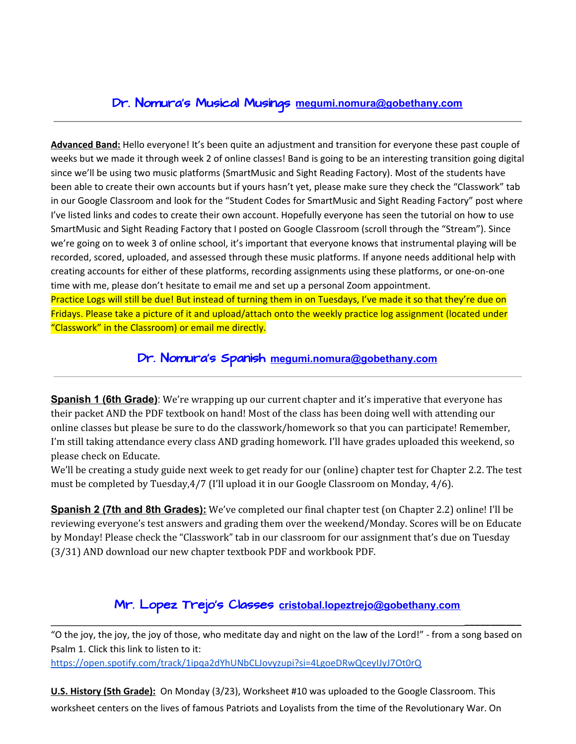## Dr. Nomura's Musical Musings **[megumi.nomura@gobethany.com](mailto:megumi.nomura@gobethany.com)**

**Advanced Band:** Hello everyone! It's been quite an adjustment and transition for everyone these past couple of weeks but we made it through week 2 of online classes! Band is going to be an interesting transition going digital since we'll be using two music platforms (SmartMusic and Sight Reading Factory). Most of the students have been able to create their own accounts but if yours hasn't yet, please make sure they check the "Classwork" tab in our Google Classroom and look for the "Student Codes for SmartMusic and Sight Reading Factory" post where I've listed links and codes to create their own account. Hopefully everyone has seen the tutorial on how to use SmartMusic and Sight Reading Factory that I posted on Google Classroom (scroll through the "Stream"). Since we're going on to week 3 of online school, it's important that everyone knows that instrumental playing will be recorded, scored, uploaded, and assessed through these music platforms. If anyone needs additional help with creating accounts for either of these platforms, recording assignments using these platforms, or one-on-one time with me, please don't hesitate to email me and set up a personal Zoom appointment. Practice Logs will still be due! But instead of turning them in on Tuesdays, I've made it so that they're due on Fridays. Please take a picture of it and upload/attach onto the weekly practice log assignment (located under "Classwork" in the Classroom) or email me directly.

Dr. Nomura's Spanish **[megumi.nomura@gobethany.com](mailto:megumi.nomura@gobethany.com)**

**Spanish 1 (6th Grade)**: We're wrapping up our current chapter and it's imperative that everyone has their packet AND the PDF textbook on hand! Most of the class has been doing well with attending our online classes but please be sure to do the classwork/homework so that you can participate! Remember, I'm still taking attendance every class AND grading homework. I'll have grades uploaded this weekend, so please check on Educate.

We'll be creating a study guide next week to get ready for our (online) chapter test for Chapter 2.2. The test must be completed by Tuesday,4/7 (I'll upload it in our Google Classroom on Monday, 4/6).

**Spanish 2 (7th and 8th Grades):** We've completed our final chapter test (on Chapter 2.2) online! I'll be reviewing everyone's test answers and grading them over the weekend/Monday. Scores will be on Educate by Monday! Please check the "Classwork" tab in our classroom for our assignment that's due on Tuesday (3/31) AND download our new chapter textbook PDF and workbook PDF.

### Mr. Lopez Trejo's Classes **cristobal.lopeztrejo[@gobethany.com](mailto:megumi.nomura@gobethany.com)** \_\_\_\_\_\_\_\_\_\_\_\_\_\_\_\_\_\_\_\_\_\_\_\_\_\_\_\_\_\_\_\_\_\_\_\_\_\_\_\_\_\_\_\_\_\_\_\_\_\_\_\_\_\_\_\_\_\_\_\_\_\_\_\_\_\_\_\_\_\_\_\_**\_\_\_\_\_\_\_\_\_\_\_**

"O the joy, the joy, the joy of those, who meditate day and night on the law of the Lord!" - from a song based on Psalm 1. Click this link to listen to it: <https://open.spotify.com/track/1ipqa2dYhUNbCLJovyzupi?si=4LgoeDRwQceyIJyJ7Ot0rQ>

**U.S. History (5th Grade):** On Monday (3/23), Worksheet #10 was uploaded to the Google Classroom. This worksheet centers on the lives of famous Patriots and Loyalists from the time of the Revolutionary War. On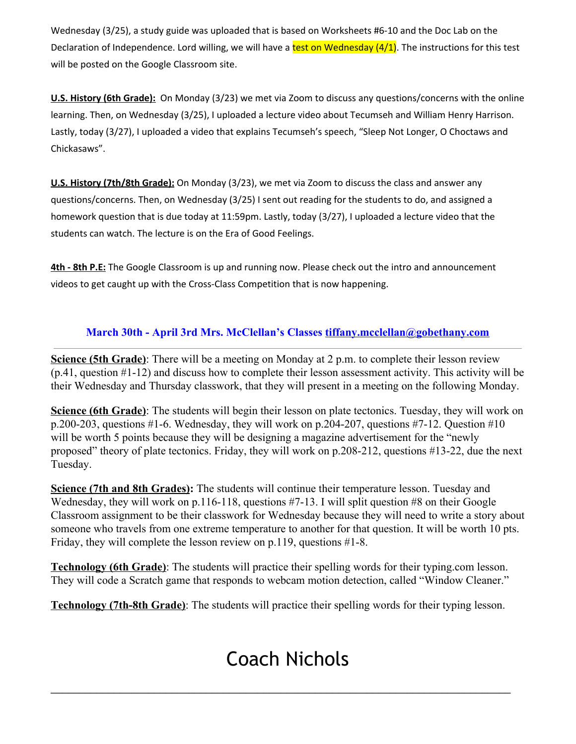Wednesday (3/25), a study guide was uploaded that is based on Worksheets #6-10 and the Doc Lab on the Declaration of Independence. Lord willing, we will have a test on Wednesday  $(4/1)$ . The instructions for this test will be posted on the Google Classroom site.

**U.S. History (6th Grade):** On Monday (3/23) we met via Zoom to discuss any questions/concerns with the online learning. Then, on Wednesday (3/25), I uploaded a lecture video about Tecumseh and William Henry Harrison. Lastly, today (3/27), I uploaded a video that explains Tecumseh's speech, "Sleep Not Longer, O Choctaws and Chickasaws".

**U.S. History (7th/8th Grade):** On Monday (3/23), we met via Zoom to discuss the class and answer any questions/concerns. Then, on Wednesday (3/25) I sent out reading for the students to do, and assigned a homework question that is due today at 11:59pm. Lastly, today (3/27), I uploaded a lecture video that the students can watch. The lecture is on the Era of Good Feelings.

**4th - 8th P.E:** The Google Classroom is up and running now. Please check out the intro and announcement videos to get caught up with the Cross-Class Competition that is now happening.

### **March 30th - April 3rd Mrs. McClellan's Classes [tiffany.mcclellan@gobethany.com](mailto:tiffany.mcclellan@gobethany.com)**

**Science (5th Grade)**: There will be a meeting on Monday at 2 p.m. to complete their lesson review (p.41, question #1-12) and discuss how to complete their lesson assessment activity. This activity will be their Wednesday and Thursday classwork, that they will present in a meeting on the following Monday.

**Science (6th Grade)**: The students will begin their lesson on plate tectonics. Tuesday, they will work on p.200-203, questions #1-6. Wednesday, they will work on p.204-207, questions #7-12. Question #10 will be worth 5 points because they will be designing a magazine advertisement for the "newly" proposed" theory of plate tectonics. Friday, they will work on p.208-212, questions #13-22, due the next Tuesday.

**Science (7th and 8th Grades):** The students will continue their temperature lesson. Tuesday and Wednesday, they will work on p.116-118, questions #7-13. I will split question #8 on their Google Classroom assignment to be their classwork for Wednesday because they will need to write a story about someone who travels from one extreme temperature to another for that question. It will be worth 10 pts. Friday, they will complete the lesson review on p.119, questions #1-8.

**Technology (6th Grade)**: The students will practice their spelling words for their typing.com lesson. They will code a Scratch game that responds to webcam motion detection, called "Window Cleaner."

**Technology (7th-8th Grade)**: The students will practice their spelling words for their typing lesson.

# Coach Nichols

\_\_\_\_\_\_\_\_\_\_\_\_\_\_\_\_\_\_\_\_\_\_\_\_\_\_\_\_\_\_\_\_\_\_\_\_\_\_\_\_\_\_\_\_\_\_\_\_\_\_\_\_\_\_\_\_\_\_\_\_\_\_\_\_\_\_\_\_\_\_\_\_\_\_\_\_\_\_\_\_